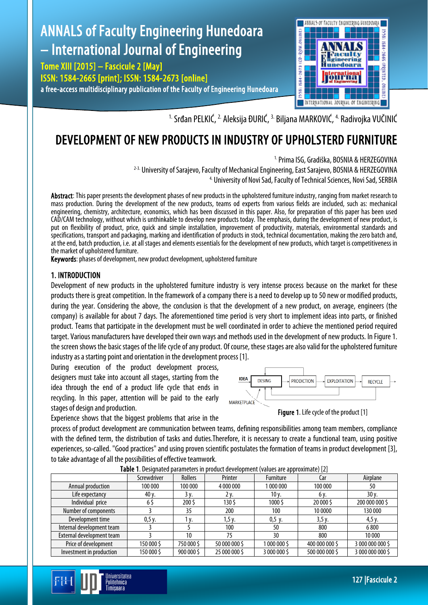

<sup>1.</sup> Srđan PELKIĆ, <sup>2.</sup> Aleksija ĐURIĆ, <sup>3.</sup> Biljana MARKOVIĆ, <sup>4.</sup> Radivojka VUČINIĆ

# DEVELOPMENT OF NEW PRODUCTS IN INDUSTRY OF UPHOLSTERD FURNITURE

#### <sup>1.</sup> Prima ISG, Gradiška, BOSNIA & HERZEGOVINA

<sup>2-3.</sup> University of Sarajevo, Faculty of Mechanical Engineering, East Sarajevo, BOSNIA & HERZEGOVINA <sup>2-3</sup>. University of Novi Sad, Faculty of Technical Sciences, Novi Sad, SERBIA

Abstract: This paper presents the development phases of new products in the upholstered furniture industry, ranging from market research to mass production. During the development of the new products, teams od experts from various fields are included, such as: mechanical engineering, chemistry, architecture, economics, which has been discussed in this paper. Also, for preparation of this paper has been used CAD/CAM technology, without which is unthinkable to develop new products today. The emphasis, during the development of new product, is put on flexibility of product, price, quick and simple installation, improvement of productivity, materials, environmental standards and specifications, transport and packaging, marking and identification of products in stock, technical documentation, making the zero batch and, at the end, batch production, i.e. at all stages and elements essentials for the development of new products, which target is competitiveness in the market of upholstered furniture.

Keywords: phases of development, new product development, upholstered furniture

#### 1. INTRODUCTION

Development of new products in the upholstered furniture industry is very intense process because on the market for these products there is great competition. In the framework of a company there is a need to develop up to 50 new or modified products, during the year. Considering the above, the conclusion is that the development of a new product, on average, engineers (the company) is available for about 7 days. The aforementioned time period is very short to implement ideas into parts, or finished product. Teams that participate in the development must be well coordinated in order to achieve the mentioned period required target. Various manufacturers have developed their own ways and methods used in the development of new products. In Figure 1. the screen shows the basic stages of the life cycle of any product. Of course, these stages are also valid for the upholstered furniture industry as a starting point and orientation in the development process [1].

During execution of the product development process, designers must take into account all stages, starting from the idea through the end of a product life cycle that ends in recycling. In this paper, attention will be paid to the early stages of design and production.

Experience shows that the biggest problems that arise in the

Jniversitatea Politehnica Timisoara



Figure 1. Life cycle of the product [1]

process of product development are communication between teams, defining responsibilities among team members, compliance with the defined term, the distribution of tasks and duties.Therefore, it is necessary to create a functional team, using positive experiences, so-called. "Good practices" and using proven scientific postulates the formation of teams in product development [3], to take advantage of all the possibilities of effective teamwork.

|                           | Screwdriver | Rollers    | Printer       | <b>Furniture</b> | Car            | Airplane         |
|---------------------------|-------------|------------|---------------|------------------|----------------|------------------|
| Annual production         | 100 000     | 100 000    | 4 000 000     | 1 000 000        | 100 000        | 50               |
| Life expectancy           | 40 y.       | 3 y.       | Ž٧.           | 10 y.            | 6 y.           | 30y.             |
| Individual price          | 6\$         | 200 \$     | 130\$         | 1000\$           | 20 000 \$      | 200 000 000 \$   |
| Number of components      |             | 35         | 200           | 100              | 10 0000        | 130 000          |
| Development time          | 0,5y.       | 1 v.       | 1,5y.         | 0,5, y.          | 3,5y.          | $4,5$ y.         |
| Internal development team |             |            | 100           | 50               | 800            | 6800             |
| External development team |             | 10         | 75            | 30               | 800            | 10 000           |
| Price of development      | 150 000 \$  | 750 000 \$ | 50 000 000 \$ | 1000 000 \$      | 400 000 000 \$ | 3 000 000 000 \$ |
| Investment in production  | 150 000 \$  | 900 000 \$ | 25 000 000 \$ | 3 000 000 \$     | 500 000 000 \$ | 3 000 000 000 \$ |

Table 1. Designated parameters in product development (values are approximate) [2]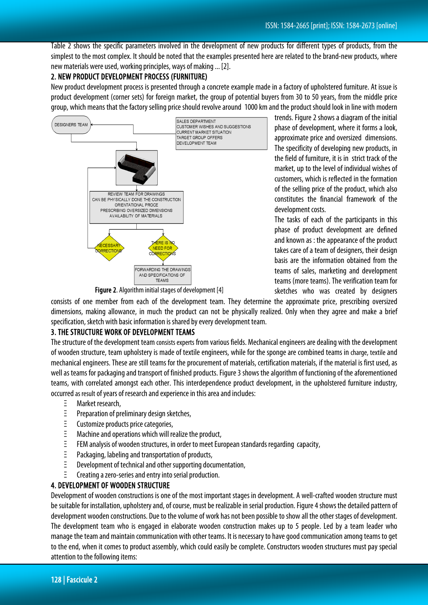Table 2 shows the specific parameters involved in the development of new products for different types of products, from the simplest to the most complex. It should be noted that the examples presented here are related to the brand-new products, where new materials were used, working principles, ways of making ... [2].

# 2. NEW PRODUCT DEVELOPMENT PROCESS (FURNITURE)

New product development process is presented through a concrete example made in a factory of upholstered furniture. At issue is product development (corner sets) for foreign market, the group of potential buyers from 30 to 50 years, from the middle price group, which means that the factory selling price should revolve around 1000 km and the product should look in line with modern



trends. Figure 2 shows a diagram of the initial phase of development, where it forms a look, approximate price and oversized dimensions. The specificity of developing new products, in the field of furniture, it is in strict track of the market, up to the level of individual wishes of customers, which is reflected in the formation of the selling price of the product, which also constitutes the financial framework of the development costs.

The tasks of each of the participants in this phase of product development are defined and known as : the appearance of the product takes care of a team of designers, their design basis are the information obtained from the teams of sales, marketing and development teams (more teams). The verification team for sketches who was created by designers

Figure 2. Algorithm initial stages of development [4]

consists of one member from each of the development team. They determine the approximate price, prescribing oversized dimensions, making allowance, in much the product can not be physically realized. Only when they agree and make a brief specification, sketch with basic information is shared by every development team.

## 3. THE STRUCTURE WORK OF DEVELOPMENT TEAMS

The structure of the development team consists experts from various fields. Mechanical engineers are dealing with the development of wooden structure, team upholstery is made of textile engineers, while for the sponge are combined teams in charge, textile and mechanical engineers. These are still teams for the procurement of materials, certification materials, if the material is first used, as well as teams for packaging and transport of finished products. Figure 3 shows the algorithm of functioning of the aforementioned teams, with correlated amongst each other. This interdependence product development, in the upholstered furniture industry, occurred as result of years of research and experience in this area and includes:

- Ξ Market research,
- Ξ Preparation of preliminary design sketches,
- Ξ Customize products price categories,
- Ξ Machine and operations which will realize the product,
- Ξ FEM analysis of wooden structures, in order to meet European standards regarding capacity,
- Ξ Packaging, labeling and transportation of products,
- Development of technical and other supporting documentation,
- Creating a zero-series and entry into serial production.

## 4. DEVELOPMENT OF WOODEN STRUCTURE

Development of wooden constructions is one of the most important stages in development. A well-crafted wooden structure must be suitable for installation, upholstery and, of course, must be realizable in serial production. Figure 4 shows the detailed pattern of development wooden constructions. Due to the volume of work has not been possible to show all the other stages of development. The development team who is engaged in elaborate wooden construction makes up to 5 people. Led by a team leader who manage the team and maintain communication with other teams. It is necessary to have good communication among teams to get to the end, when it comes to product assembly, which could easily be complete. Constructors wooden structures must pay special attention to the following items: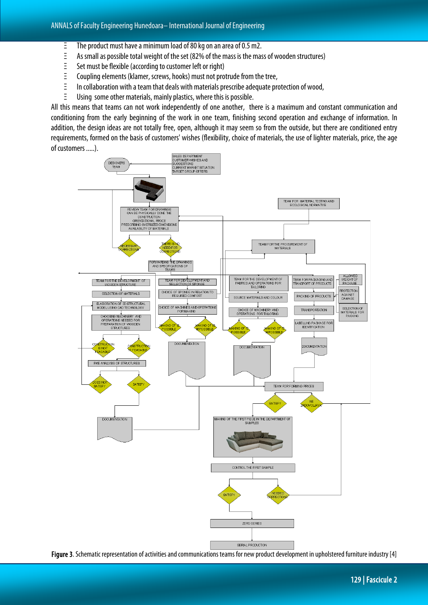- Ξ The product must have a minimum load of 80 kg on an area of 0.5 m2.
- Ξ As small as possible total weight of the set (82% of the mass is the mass of wooden structures)
- Ξ Set must be flexible (according to customer left or right)
- Ξ Coupling elements (klamer, screws, hooks) must not protrude from the tree,
- Ξ In collaboration with a team that deals with materials prescribe adequate protection of wood,
- Ξ Using some other materials, mainly plastics, where this is possible.

All this means that teams can not work independently of one another, there is a maximum and constant communication and conditioning from the early beginning of the work in one team, finishing second operation and exchange of information. In addition, the design ideas are not totally free, open, although it may seem so from the outside, but there are conditioned entry requirements, formed on the basis of customers' wishes (flexibility, choice of materials, the use of lighter materials, price, the age of customers .....).



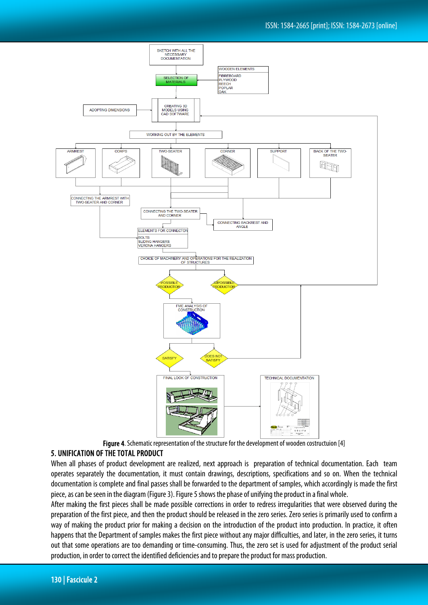

## 5. UNIFICATION OF THE TOTAL PRODUCT

When all phases of product development are realized, next approach is preparation of technical documentation. Each team operates separately the documentation, it must contain drawings, descriptions, specifications and so on. When the technical documentation is complete and final passes shall be forwarded to the department of samples, which accordingly is made the first piece, as can be seen in the diagram (Figure 3). Figure 5 shows the phase of unifying the product in a final whole.

After making the first pieces shall be made possible corrections in order to redress irregularities that were observed during the preparation of the first piece, and then the product should be released in the zero series. Zero series is primarily used to confirm a way of making the product prior for making a decision on the introduction of the product into production. In practice, it often happens that the Department of samples makes the first piece without any major difficulties, and later, in the zero series, it turns out that some operations are too demanding or time-consuming. Thus, the zero set is used for adjustment of the product serial production, in order to correct the identified deficiencies and to prepare the product for mass production.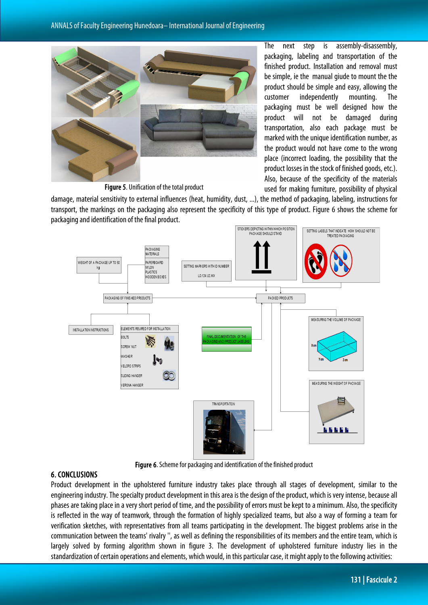

The next step is assembly-disassembly, packaging, labeling and transportation of the finished product. Installation and removal must be simple, ie the manual giude to mount the the product should be simple and easy, allowing the customer independently mounting. The packaging must be well designed how the product will not be damaged during transportation, also each package must be marked with the unique identification number, as the product would not have come to the wrong place (incorrect loading, the possibility that the product losses in the stock of finished goods, etc.). Also, because of the specificity of the materials used for making furniture, possibility of physical

Figure 5. Unification of the total product

damage, material sensitivity to external influences (heat, humidity, dust, ...), the method of packaging, labeling, instructions for transport, the markings on the packaging also represent the specificity of this type of product. Figure 6 shows the scheme for packaging and identification of the final product.



Figure 6. Scheme for packaging and identification of the finished product

#### 6. CONCLUSIONS

Product development in the upholstered furniture industry takes place through all stages of development, similar to the engineering industry. The specialty product development in this area is the design of the product, which is very intense, because all phases are taking place in a very short period of time, and the possibility of errors must be kept to a minimum. Also, the specificity is reflected in the way of teamwork, through the formation of highly specialized teams, but also a way of forming a team for verification sketches, with representatives from all teams participating in the development. The biggest problems arise in the communication between the teams' rivalry '', as well as defining the responsibilities of its members and the entire team, which is largely solved by forming algorithm shown in figure 3. The development of upholstered furniture industry lies in the standardization of certain operations and elements, which would, in this particular case, it might apply to the following activities: